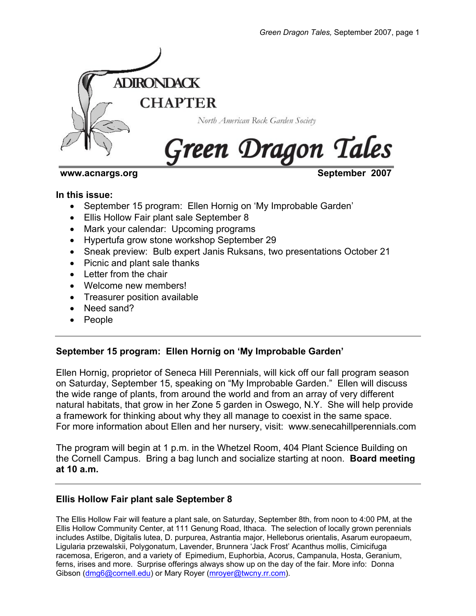

**www.acnargs.org September 2007** 

#### **In this issue:**

- September 15 program: Ellen Hornig on 'My Improbable Garden'
- Ellis Hollow Fair plant sale September 8
- Mark your calendar: Upcoming programs
- Hypertufa grow stone workshop September 29
- Sneak preview: Bulb expert Janis Ruksans, two presentations October 21
- Picnic and plant sale thanks
- Letter from the chair
- Welcome new members!
- Treasurer position available
- Need sand?
- People

# **September 15 program: Ellen Hornig on 'My Improbable Garden'**

Ellen Hornig, proprietor of Seneca Hill Perennials, will kick off our fall program season on Saturday, September 15, speaking on "My Improbable Garden." Ellen will discuss the wide range of plants, from around the world and from an array of very different natural habitats, that grow in her Zone 5 garden in Oswego, N.Y. She will help provide a framework for thinking about why they all manage to coexist in the same space. For more information about Ellen and her nursery, visit: www.senecahillperennials.com

The program will begin at 1 p.m. in the Whetzel Room, 404 Plant Science Building on the Cornell Campus. Bring a bag lunch and socialize starting at noon. **Board meeting at 10 a.m.**

# **Ellis Hollow Fair plant sale September 8**

The Ellis Hollow Fair will feature a plant sale, on Saturday, September 8th, from noon to 4:00 PM, at the Ellis Hollow Community Center, at 111 Genung Road, Ithaca. The selection of locally grown perennials includes Astilbe, Digitalis lutea, D. purpurea, Astrantia major, Helleborus orientalis, Asarum europaeum, Ligularia przewalskii, Polygonatum, Lavender, Brunnera 'Jack Frost' Acanthus mollis, Cimicifuga racemosa, Erigeron, and a variety of Epimedium, Euphorbia, Acorus, Campanula, Hosta, Geranium, ferns, irises and more. Surprise offerings always show up on the day of the fair. More info: Donna Gibson (dmg6@cornell.edu) or Mary Royer (mroyer@twcny.rr.com).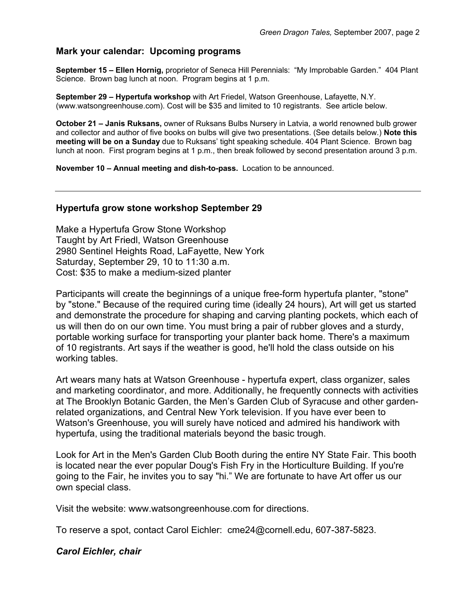## **Mark your calendar: Upcoming programs**

**September 15 – Ellen Hornig,** proprietor of Seneca Hill Perennials: "My Improbable Garden." 404 Plant Science. Brown bag lunch at noon. Program begins at 1 p.m.

**September 29 – Hypertufa workshop** with Art Friedel, Watson Greenhouse, Lafayette, N.Y. (www.watsongreenhouse.com). Cost will be \$35 and limited to 10 registrants. See article below.

**October 21 – Janis Ruksans,** owner of Ruksans Bulbs Nursery in Latvia, a world renowned bulb grower and collector and author of five books on bulbs will give two presentations. (See details below.) **Note this meeting will be on a Sunday** due to Ruksans' tight speaking schedule. 404 Plant Science. Brown bag lunch at noon. First program begins at 1 p.m., then break followed by second presentation around 3 p.m.

**November 10 – Annual meeting and dish-to-pass.** Location to be announced.

#### **Hypertufa grow stone workshop September 29**

Make a Hypertufa Grow Stone Workshop Taught by Art Friedl, Watson Greenhouse 2980 Sentinel Heights Road, LaFayette, New York Saturday, September 29, 10 to 11:30 a.m. Cost: \$35 to make a medium-sized planter

Participants will create the beginnings of a unique free-form hypertufa planter, "stone" by "stone." Because of the required curing time (ideally 24 hours), Art will get us started and demonstrate the procedure for shaping and carving planting pockets, which each of us will then do on our own time. You must bring a pair of rubber gloves and a sturdy, portable working surface for transporting your planter back home. There's a maximum of 10 registrants. Art says if the weather is good, he'll hold the class outside on his working tables.

Art wears many hats at Watson Greenhouse - hypertufa expert, class organizer, sales and marketing coordinator, and more. Additionally, he frequently connects with activities at The Brooklyn Botanic Garden, the Men's Garden Club of Syracuse and other gardenrelated organizations, and Central New York television. If you have ever been to Watson's Greenhouse, you will surely have noticed and admired his handiwork with hypertufa, using the traditional materials beyond the basic trough.

Look for Art in the Men's Garden Club Booth during the entire NY State Fair. This booth is located near the ever popular Doug's Fish Fry in the Horticulture Building. If you're going to the Fair, he invites you to say "hi." We are fortunate to have Art offer us our own special class.

Visit the website: www.watsongreenhouse.com for directions.

To reserve a spot, contact Carol Eichler: cme24@cornell.edu, 607-387-5823.

#### *Carol Eichler, chair*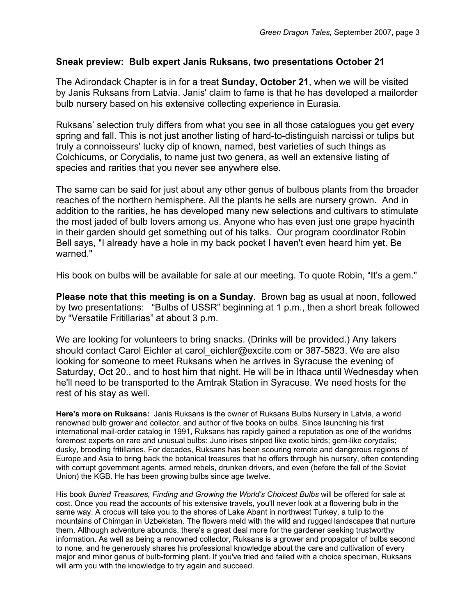# **Sneak preview: Bulb expert Janis Ruksans, two presentations October 21**

The Adirondack Chapter is in for a treat **Sunday, October 21**, when we will be visited by Janis Ruksans from Latvia. Janis' claim to fame is that he has developed a mailorder bulb nursery based on his extensive collecting experience in Eurasia.

Ruksans' selection truly differs from what you see in all those catalogues you get every spring and fall. This is not just another listing of hard-to-distinguish narcissi or tulips but truly a connoisseurs' lucky dip of known, named, best varieties of such things as Colchicums, or Corydalis, to name just two genera, as well an extensive listing of species and rarities that you never see anywhere else.

The same can be said for just about any other genus of bulbous plants from the broader reaches of the northern hemisphere. All the plants he sells are nursery grown. And in addition to the rarities, he has developed many new selections and cultivars to stimulate the most jaded of bulb lovers among us. Anyone who has even just one grape hyacinth in their garden should get something out of his talks. Our program coordinator Robin Bell says, "I already have a hole in my back pocket I haven't even heard him yet. Be warned."

His book on bulbs will be available for sale at our meeting. To quote Robin, "It's a gem."

**Please note that this meeting is on a Sunday**. Brown bag as usual at noon, followed by two presentations: "Bulbs of USSR" beginning at 1 p.m., then a short break followed by "Versatile Fritillarias" at about 3 p.m.

We are looking for volunteers to bring snacks. (Drinks will be provided.) Any takers should contact Carol Eichler at carol eichler@excite.com or 387-5823. We are also looking for someone to meet Ruksans when he arrives in Syracuse the evening of Saturday, Oct 20., and to host him that night. He will be in Ithaca until Wednesday when he'll need to be transported to the Amtrak Station in Syracuse. We need hosts for the rest of his stay as well.

**Here's more on Ruksans:** Janis Ruksans is the owner of Ruksans Bulbs Nursery in Latvia, a world renowned bulb grower and collector, and author of five books on bulbs. Since launching his first international mail-order catalog in 1991, Ruksans has rapidly gained a reputation as one of the worldms foremost experts on rare and unusual bulbs: Juno irises striped like exotic birds; gem-like corydalis; dusky, brooding fritillaries. For decades, Ruksans has been scouring remote and dangerous regions of Europe and Asia to bring back the botanical treasures that he offers through his nursery, often contending with corrupt government agents, armed rebels, drunken drivers, and even (before the fall of the Soviet Union) the KGB. He has been growing bulbs since age twelve.

His book *Buried Treasures, Finding and Growing the World's Choicest Bulbs* will be offered for sale at cost. Once you read the accounts of his extensive travels, you'll never look at a flowering bulb in the same way. A crocus will take you to the shores of Lake Abant in northwest Turkey, a tulip to the mountains of Chimgan in Uzbekistan. The flowers meld with the wild and rugged landscapes that nurture them. Although adventure abounds, there's a great deal more for the gardener seeking trustworthy information. As well as being a renowned collector, Ruksans is a grower and propagator of bulbs second to none, and he generously shares his professional knowledge about the care and cultivation of every major and minor genus of bulb-forming plant. If you've tried and failed with a choice specimen, Ruksans will arm you with the knowledge to try again and succeed.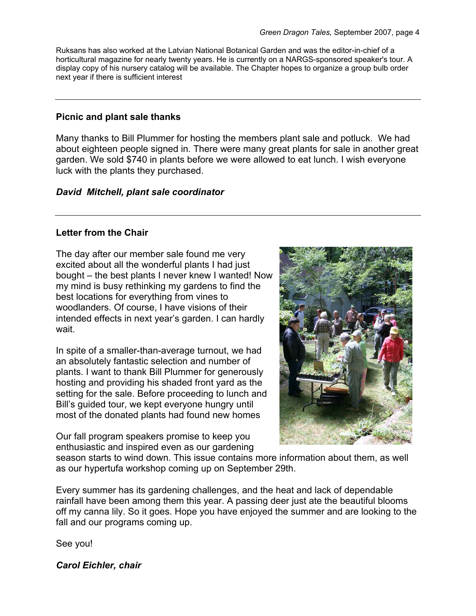Ruksans has also worked at the Latvian National Botanical Garden and was the editor-in-chief of a horticultural magazine for nearly twenty years. He is currently on a NARGS-sponsored speaker's tour. A display copy of his nursery catalog will be available. The Chapter hopes to organize a group bulb order next year if there is sufficient interest

# **Picnic and plant sale thanks**

Many thanks to Bill Plummer for hosting the members plant sale and potluck. We had about eighteen people signed in. There were many great plants for sale in another great garden. We sold \$740 in plants before we were allowed to eat lunch. I wish everyone luck with the plants they purchased.

## *David Mitchell, plant sale coordinator*

## **Letter from the Chair**

The day after our member sale found me very excited about all the wonderful plants I had just bought – the best plants I never knew I wanted! Now my mind is busy rethinking my gardens to find the best locations for everything from vines to woodlanders. Of course, I have visions of their intended effects in next year's garden. I can hardly wait.

In spite of a smaller-than-average turnout, we had an absolutely fantastic selection and number of plants. I want to thank Bill Plummer for generously hosting and providing his shaded front yard as the setting for the sale. Before proceeding to lunch and Bill's guided tour, we kept everyone hungry until most of the donated plants had found new homes

Our fall program speakers promise to keep you enthusiastic and inspired even as our gardening



season starts to wind down. This issue contains more information about them, as well as our hypertufa workshop coming up on September 29th.

Every summer has its gardening challenges, and the heat and lack of dependable rainfall have been among them this year. A passing deer just ate the beautiful blooms off my canna lily. So it goes. Hope you have enjoyed the summer and are looking to the fall and our programs coming up.

See you!

*Carol Eichler, chair*